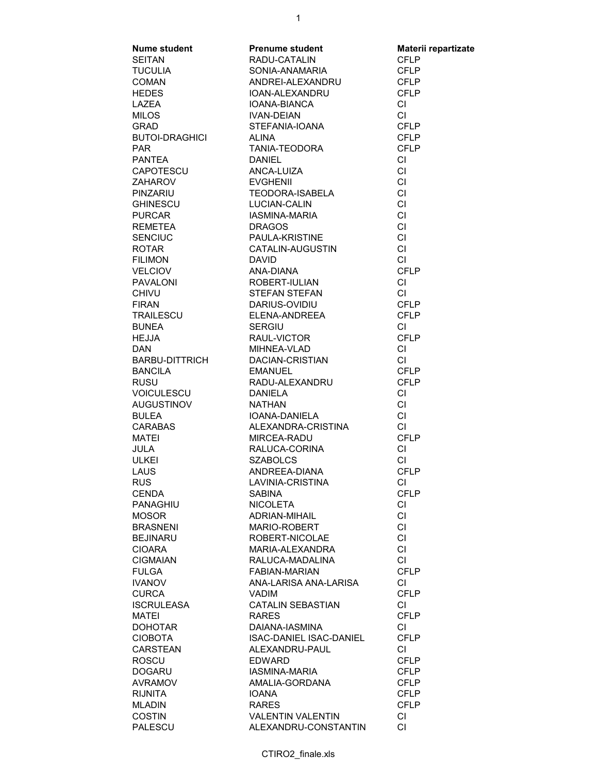| <b>Nume student</b>   | <b>Prenume student</b>         | Materii repartizate |
|-----------------------|--------------------------------|---------------------|
| <b>SEITAN</b>         | RADU-CATALIN                   | <b>CFLP</b>         |
| TUCULIA               | SONIA-ANAMARIA                 | <b>CFLP</b>         |
| <b>COMAN</b>          | ANDREI-ALEXANDRU               | <b>CFLP</b>         |
| <b>HEDES</b>          | IOAN-ALEXANDRU                 | <b>CFLP</b>         |
|                       |                                |                     |
| LAZEA                 | IOANA-BIANCA                   | <b>CI</b>           |
| <b>MILOS</b>          | <b>IVAN-DEIAN</b>              | <b>CI</b>           |
| <b>GRAD</b>           | STEFANIA-IOANA                 | <b>CFLP</b>         |
| <b>BUTOI-DRAGHICI</b> | ALINA                          | <b>CFLP</b>         |
| <b>PAR</b>            | TANIA-TEODORA                  | <b>CFLP</b>         |
| <b>PANTEA</b>         | <b>DANIEL</b>                  | <b>CI</b>           |
| CAPOTESCU             | ANCA-LUIZA                     | <b>CI</b>           |
| ZAHAROV               | <b>EVGHENII</b>                | <b>CI</b>           |
|                       |                                |                     |
| PINZARIU              | <b>TEODORA-ISABELA</b>         | <b>CI</b>           |
| GHINESCU              | <b>LUCIAN-CALIN</b>            | <b>CI</b>           |
| <b>PURCAR</b>         | <b>IASMINA-MARIA</b>           | CI                  |
| REMETEA               | <b>DRAGOS</b>                  | CI                  |
| SENCIUC               | PAULA-KRISTINE                 | CI                  |
| <b>ROTAR</b>          | CATALIN-AUGUSTIN               | CI                  |
| <b>FILIMON</b>        | <b>DAVID</b>                   | <b>CI</b>           |
| VELCIOV               | ANA-DIANA                      | <b>CFLP</b>         |
|                       | <b>ROBERT-IULIAN</b>           |                     |
| <b>PAVALONI</b>       |                                | <b>CI</b>           |
| <b>CHIVU</b>          | STEFAN STEFAN                  | <b>CI</b>           |
| <b>FIRAN</b>          | DARIUS-OVIDIU                  | <b>CFLP</b>         |
| TRAILESCU             | <b>ELENA-ANDREEA</b>           | <b>CFLP</b>         |
| <b>BUNEA</b>          | <b>SERGIU</b>                  | CI                  |
| <b>HEJJA</b>          | RAUL-VICTOR                    | <b>CFLP</b>         |
| <b>DAN</b>            |                                | <b>CI</b>           |
| BARBU-DITTRICH        | MIHNEA-VLAD<br>DACIAN-CRISTIAN | CI                  |
| <b>BANCILA</b>        | EMANUEL                        | <b>CFLP</b>         |
| <b>RUSU</b>           | RADU-ALEXANDRU                 | <b>CFLP</b>         |
|                       |                                |                     |
| <b>VOICULESCU</b>     | <b>DANIELA</b>                 | <b>CI</b>           |
| <b>AUGUSTINOV</b>     | <b>NATHAN</b>                  | <b>CI</b>           |
| <b>BULEA</b>          | IOANA-DANIELA                  | <b>CI</b>           |
| CARABAS               | ALEXANDRA-CRISTINA             | <b>CI</b>           |
| MATEI                 | MIRCEA-RADU                    | <b>CFLP</b>         |
| <b>JULA</b>           | RALUCA-CORINA                  | CI                  |
| <b>ULKEI</b>          | <b>SZABOLCS</b>                | CI                  |
| LAUS                  | ANDREEA-DIANA                  | <b>CFLP</b>         |
| <b>RUS</b>            | LAVINIA-CRISTINA               | CI                  |
|                       |                                |                     |
| <b>CENDA</b>          | <b>SABINA</b>                  | <b>CFLP</b>         |
| <b>PANAGHIU</b>       | <b>NICOLETA</b>                | CI.                 |
| <b>MOSOR</b>          | ADRIAN-MIHAIL                  | СI                  |
| <b>BRASNENI</b>       | MARIO-ROBERT                   | <b>CI</b>           |
| <b>BEJINARU</b>       | ROBERT-NICOLAE                 | CI                  |
| <b>CIOARA</b>         | MARIA-ALEXANDRA                | CI                  |
| <b>CIGMAIAN</b>       | RALUCA-MADALINA                | CI                  |
| <b>FULGA</b>          | FABIAN-MARIAN                  | <b>CFLP</b>         |
| <b>IVANOV</b>         | ANA-LARISA ANA-LARISA          | CI                  |
|                       |                                |                     |
| <b>CURCA</b>          | <b>VADIM</b>                   | <b>CFLP</b>         |
| <b>ISCRULEASA</b>     | <b>CATALIN SEBASTIAN</b>       | CI.                 |
| MATEI                 | <b>RARES</b>                   | <b>CFLP</b>         |
| <b>DOHOTAR</b>        | DAIANA-IASMINA                 | CI.                 |
| <b>CIOBOTA</b>        | ISAC-DANIEL ISAC-DANIEL        | <b>CFLP</b>         |
| <b>CARSTEAN</b>       | ALEXANDRU-PAUL                 | CI.                 |
| <b>ROSCU</b>          | <b>EDWARD</b>                  | <b>CFLP</b>         |
| <b>DOGARU</b>         | IASMINA-MARIA                  | <b>CFLP</b>         |
| <b>AVRAMOV</b>        | AMALIA-GORDANA                 | <b>CFLP</b>         |
| <b>RIJNITA</b>        | <b>IOANA</b>                   | <b>CFLP</b>         |
|                       |                                |                     |
| <b>MLADIN</b>         | <b>RARES</b>                   | <b>CFLP</b>         |
| <b>COSTIN</b>         | <b>VALENTIN VALENTIN</b>       | СI                  |
| PALESCU               | ALEXANDRU-CONSTANTIN           | <b>CI</b>           |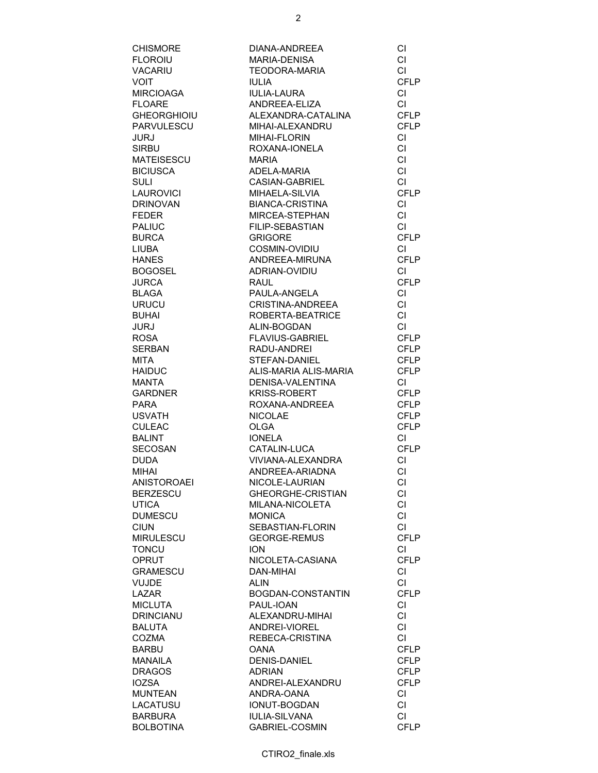| <b>CHISMORE</b>    | DIANA-ANDREEA          | СI          |
|--------------------|------------------------|-------------|
| <b>FLOROIU</b>     | MARIA-DENISA           | CI          |
| <b>VACARIU</b>     | <b>TEODORA-MARIA</b>   | <b>CI</b>   |
| VOIT               | <b>IULIA</b>           | <b>CFLP</b> |
| <b>MIRCIOAGA</b>   | <b>IULIA-LAURA</b>     | CI.         |
| <b>FLOARE</b>      | ANDREEA-ELIZA          | <b>CI</b>   |
| GHEORGHIOIU        | ALEXANDRA-CATALINA     | <b>CFLP</b> |
| PARVULESCU         | MIHAI-ALEXANDRU        | <b>CFLP</b> |
| JURJ               | <b>MIHAI-FLORIN</b>    | CI          |
| <b>SIRBU</b>       | ROXANA-IONELA          | CI          |
| MATEISESCU         | <b>MARIA</b>           | CI          |
| <b>BICIUSCA</b>    | ADELA-MARIA            | CI          |
| <b>SULI</b>        | CASIAN-GABRIEL         | <b>CI</b>   |
| LAUROVICI          | MIHAELA-SILVIA         | <b>CFLP</b> |
| <b>DRINOVAN</b>    | <b>BIANCA-CRISTINA</b> | CI          |
| <b>FEDER</b>       | MIRCEA-STEPHAN         | CI          |
| <b>PALIUC</b>      | FILIP-SEBASTIAN        | <b>CI</b>   |
| <b>BURCA</b>       | <b>GRIGORE</b>         | <b>CFLP</b> |
|                    |                        |             |
| <b>LIUBA</b>       | COSMIN-OVIDIU          | <b>CI</b>   |
| <b>HANES</b>       | ANDREEA-MIRUNA         | <b>CFLP</b> |
| BOGOSEL            | ADRIAN-OVIDIU          | <b>CI</b>   |
| <b>JURCA</b>       | <b>RAUL</b>            | <b>CFLP</b> |
| <b>BLAGA</b>       | PAULA-ANGELA           | <b>CI</b>   |
| <b>URUCU</b>       | CRISTINA-ANDREEA       | CI.         |
| <b>BUHAI</b>       | ROBERTA-BEATRICE       | <b>CI</b>   |
| JURJ               | ALIN-BOGDAN            | <b>CI</b>   |
| <b>ROSA</b>        | <b>FLAVIUS-GABRIEL</b> | <b>CFLP</b> |
| <b>SERBAN</b>      | RADU-ANDREI            | <b>CFLP</b> |
| <b>MITA</b>        | STEFAN-DANIEL          | <b>CFLP</b> |
| <b>HAIDUC</b>      | ALIS-MARIA ALIS-MARIA  | <b>CFLP</b> |
| MANTA              | DENISA-VALENTINA       | CI          |
| <b>GARDNER</b>     | <b>KRISS-ROBERT</b>    | <b>CFLP</b> |
| PARA               | ROXANA-ANDREEA         | <b>CFLP</b> |
| <b>USVATH</b>      | <b>NICOLAE</b>         | <b>CFLP</b> |
| <b>CULEAC</b>      | <b>OLGA</b>            | <b>CFLP</b> |
| <b>BALINT</b>      | <b>IONELA</b>          | CI          |
| <b>SECOSAN</b>     | CATALIN-LUCA           | <b>CFLP</b> |
| <b>DUDA</b>        | VIVIANA-ALEXANDRA      | <b>CI</b>   |
| <b>MIHAI</b>       | ANDREEA-ARIADNA        | <b>CI</b>   |
| <b>ANISTOROAEI</b> | NICOLE-LAURIAN         | СI          |
| <b>BERZESCU</b>    | GHEORGHE-CRISTIAN      | СI          |
| <b>UTICA</b>       | MILANA-NICOLETA        | <b>CI</b>   |
| <b>DUMESCU</b>     | <b>MONICA</b>          | CI          |
| <b>CIUN</b>        | SEBASTIAN-FLORIN       | <b>CI</b>   |
| <b>MIRULESCU</b>   | <b>GEORGE-REMUS</b>    | <b>CFLP</b> |
| <b>TONCU</b>       | <b>ION</b>             | CI          |
| <b>OPRUT</b>       | NICOLETA-CASIANA       | <b>CFLP</b> |
| <b>GRAMESCU</b>    | <b>DAN-MIHAI</b>       | CI.         |
| <b>VUJDE</b>       | <b>ALIN</b>            | CI          |
| <b>LAZAR</b>       | BOGDAN-CONSTANTIN      | <b>CFLP</b> |
| <b>MICLUTA</b>     | PAUL-IOAN              | CI.         |
| <b>DRINCIANU</b>   | ALEXANDRU-MIHAI        | CI.         |
| <b>BALUTA</b>      | ANDREI-VIOREL          | CI          |
| <b>COZMA</b>       | REBECA-CRISTINA        | CI          |
| <b>BARBU</b>       | <b>OANA</b>            | <b>CFLP</b> |
| <b>MANAILA</b>     | <b>DENIS-DANIEL</b>    | <b>CFLP</b> |
| <b>DRAGOS</b>      | <b>ADRIAN</b>          | <b>CFLP</b> |
| <b>IOZSA</b>       | ANDREI-ALEXANDRU       | <b>CFLP</b> |
| <b>MUNTEAN</b>     |                        |             |
|                    | ANDRA-OANA             | <b>CI</b>   |
| LACATUSU           | <b>IONUT-BOGDAN</b>    | СI          |
| <b>BARBURA</b>     | <b>IULIA-SILVANA</b>   | СI          |
| <b>BOLBOTINA</b>   | <b>GABRIEL-COSMIN</b>  | <b>CFLP</b> |

CTIRO2\_finale.xls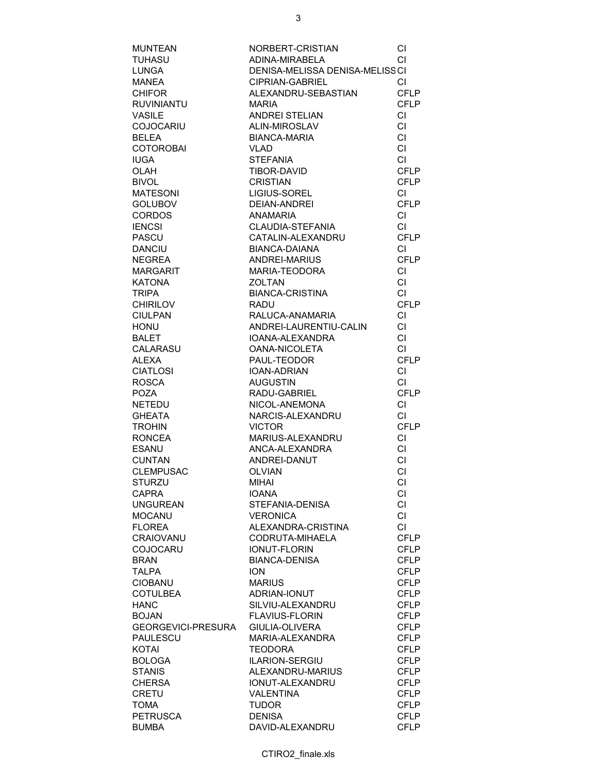| <b>MUNTEAN</b>            | NORBERT-CRISTIAN                 | СI          |
|---------------------------|----------------------------------|-------------|
| <b>TUHASU</b>             | ADINA-MIRABELA                   | CI          |
| LUNGA                     | DENISA-MELISSA DENISA-MELISS CI  |             |
| <b>MANEA</b>              | CIPRIAN-GABRIEL                  | СI          |
| <b>CHIFOR</b>             | ALEXANDRU-SEBASTIAN              | <b>CFLP</b> |
| <b>RUVINIANTU</b>         | <b>MARIA</b>                     | <b>CFLP</b> |
| <b>VASILE</b>             | ANDREI STELIAN                   | CI          |
| <b>COJOCARIU</b>          | ALIN-MIROSLAV                    | <b>CI</b>   |
| <b>BELEA</b>              | <b>BIANCA-MARIA</b>              | <b>CI</b>   |
| <b>COTOROBAI</b>          | <b>VLAD</b>                      | <b>CI</b>   |
| <b>IUGA</b>               | <b>STEFANIA</b>                  | CI          |
| <b>OLAH</b>               | TIBOR-DAVID                      | <b>CFLP</b> |
| <b>BIVOL</b>              | <b>CRISTIAN</b>                  | <b>CFLP</b> |
|                           |                                  |             |
| <b>MATESONI</b>           | LIGIUS-SOREL                     | CI          |
| <b>GOLUBOV</b>            | DEIAN-ANDREI                     | <b>CFLP</b> |
| <b>CORDOS</b>             | <b>ANAMARIA</b>                  | CI.         |
| <b>IENCSI</b>             | CLAUDIA-STEFANIA                 | <b>CI</b>   |
| <b>PASCU</b>              | CATALIN-ALEXANDRU                | <b>CFLP</b> |
| <b>DANCIU</b>             | <b>BIANCA-DAIANA</b>             | <b>CI</b>   |
| <b>NEGREA</b>             | ANDREI-MARIUS                    | <b>CFLP</b> |
| <b>MARGARIT</b>           | MARIA-TEODORA                    | CI          |
| <b>KATONA</b>             | <b>ZOLTAN</b>                    | CI          |
| <b>TRIPA</b>              | <b>BIANCA-CRISTINA</b>           | <b>CI</b>   |
| <b>CHIRILOV</b>           | <b>RADU</b>                      | <b>CFLP</b> |
| <b>CIULPAN</b>            | RALUCA-ANAMARIA                  | CI.         |
| <b>HONU</b>               | ANDREI-LAURENTIU-CALIN           | CI.         |
| <b>BALET</b>              | IOANA-ALEXANDRA                  | <b>CI</b>   |
| CALARASU                  | <b>OANA-NICOLETA</b>             | CI.         |
| <b>ALEXA</b>              | PAUL-TEODOR                      | <b>CFLP</b> |
| <b>CIATLOSI</b>           | IOAN-ADRIAN                      | <b>CI</b>   |
| <b>ROSCA</b>              | <b>AUGUSTIN</b>                  | CI          |
| <b>POZA</b>               | RADU-GABRIEL                     | <b>CFLP</b> |
| <b>NETEDU</b>             | NICOL-ANEMONA                    | CI          |
| <b>GHEATA</b>             | NARCIS-ALEXANDRU                 | CI          |
| <b>TROHIN</b>             | <b>VICTOR</b>                    | <b>CFLP</b> |
| <b>RONCEA</b>             | MARIUS-ALEXANDRU                 | CI.         |
| <b>ESANU</b>              | ANCA-ALEXANDRA                   | CI          |
| <b>CUNTAN</b>             | ANDREI-DANUT                     | <b>CI</b>   |
| <b>CLEMPUSAC</b>          | <b>OLVIAN</b>                    | <b>CI</b>   |
| STURZU                    | MIHAI                            | СI          |
| <b>CAPRA</b>              | <b>IOANA</b>                     | СI          |
| <b>UNGUREAN</b>           | STEFANIA-DENISA                  | <b>CI</b>   |
| <b>MOCANU</b>             | <b>VERONICA</b>                  | <b>CI</b>   |
| <b>FLOREA</b>             | ALEXANDRA-CRISTINA               | CI.         |
| <b>CRAIOVANU</b>          | CODRUTA-MIHAELA                  | <b>CFLP</b> |
| <b>COJOCARU</b>           | <b>IONUT-FLORIN</b>              | <b>CFLP</b> |
| <b>BRAN</b>               | <b>BIANCA-DENISA</b>             | <b>CFLP</b> |
| <b>TALPA</b>              | <b>ION</b>                       | <b>CFLP</b> |
| CIOBANU                   | <b>MARIUS</b>                    | <b>CFLP</b> |
| <b>COTULBEA</b>           | ADRIAN-IONUT                     | <b>CFLP</b> |
| <b>HANC</b>               | SILVIU-ALEXANDRU                 | <b>CFLP</b> |
| <b>BOJAN</b>              | <b>FLAVIUS-FLORIN</b>            | <b>CFLP</b> |
| <b>GEORGEVICI-PRESURA</b> | <b>GIULIA-OLIVERA</b>            | <b>CFLP</b> |
| <b>PAULESCU</b>           | MARIA-ALEXANDRA                  | <b>CFLP</b> |
| <b>KOTAI</b>              | <b>TEODORA</b>                   | <b>CFLP</b> |
| <b>BOLOGA</b>             | ILARION-SERGIU                   | <b>CFLP</b> |
| <b>STANIS</b>             | ALEXANDRU-MARIUS                 | <b>CFLP</b> |
| <b>CHERSA</b>             | <b>IONUT-ALEXANDRU</b>           | <b>CFLP</b> |
| <b>CRETU</b>              | <b>VALENTINA</b>                 | <b>CFLP</b> |
| <b>TOMA</b>               | <b>TUDOR</b>                     | <b>CFLP</b> |
| <b>PETRUSCA</b>           |                                  | <b>CFLP</b> |
| <b>BUMBA</b>              | <b>DENISA</b><br>DAVID-ALEXANDRU | <b>CFLP</b> |
|                           |                                  |             |

CTIRO2\_finale.xls